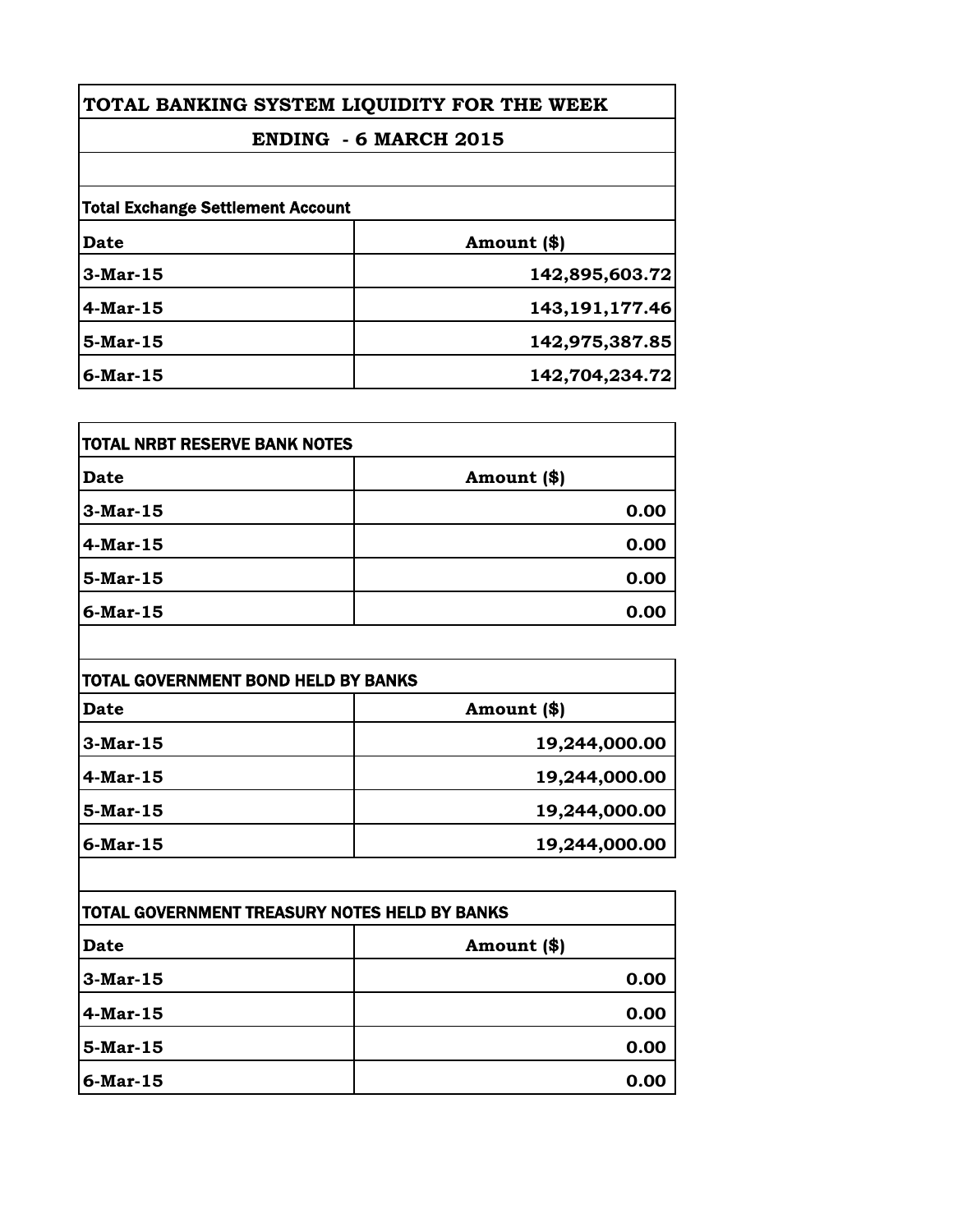| TOTAL BANKING SYSTEM LIQUIDITY FOR THE WEEK                              |                   |            |                |
|--------------------------------------------------------------------------|-------------------|------------|----------------|
| <b>ENDING - 6 MARCH 2015</b><br><b>Total Exchange Settlement Account</b> |                   |            |                |
|                                                                          |                   | Date       | Amount (\$)    |
|                                                                          |                   | $3-Mar-15$ | 142,895,603.72 |
| $4$ -Mar-15                                                              | 143, 191, 177. 46 |            |                |
| 5-Mar-15                                                                 | 142,975,387.85    |            |                |
| 6-Mar-15                                                                 | 142,704,234.72    |            |                |

| 0.00 |
|------|
| 0.00 |
| 0.00 |
| 0.00 |
|      |

| TOTAL GOVERNMENT BOND HELD BY BANKS |               |
|-------------------------------------|---------------|
| <b>Date</b>                         | Amount (\$)   |
| $3-Mar-15$                          | 19,244,000.00 |
| $4$ -Mar-15                         | 19,244,000.00 |
| 5-Mar-15                            | 19,244,000.00 |
| $6$ -Mar-15                         | 19,244,000.00 |

| <b>TOTAL GOVERNMENT TREASURY NOTES HELD BY BANKS</b> |             |
|------------------------------------------------------|-------------|
| <b>Date</b>                                          | Amount (\$) |
| $3-Mar-15$                                           | 0.00        |
| $4$ -Mar-15                                          | 0.00        |
| $5-Mar-15$                                           | 0.00        |
| $6$ -Mar-15                                          | 0.00        |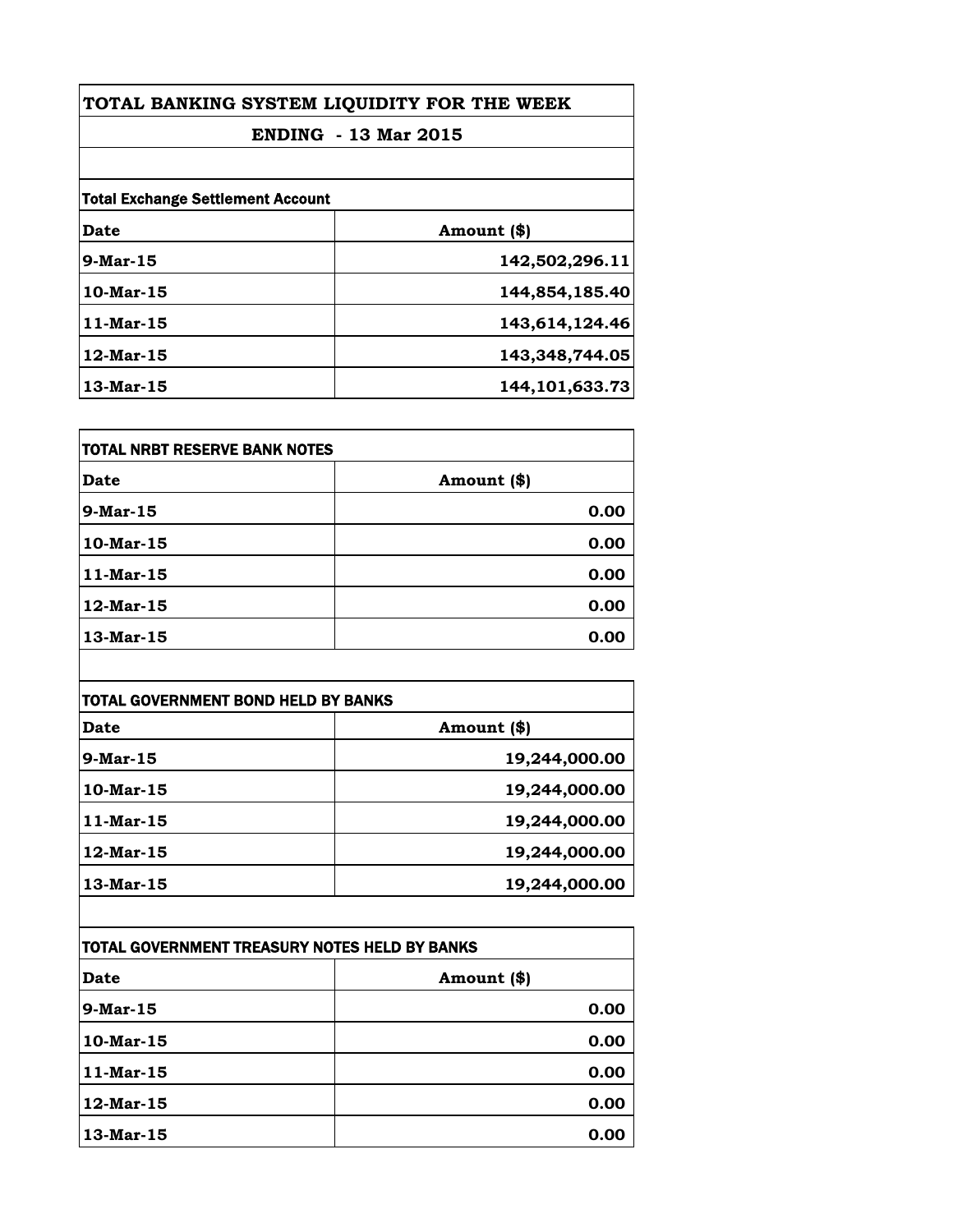| TOTAL BANKING SYSTEM LIQUIDITY FOR THE WEEK<br><b>ENDING - 13 Mar 2015</b> |                |                                          |             |
|----------------------------------------------------------------------------|----------------|------------------------------------------|-------------|
|                                                                            |                | <b>Total Exchange Settlement Account</b> |             |
|                                                                            |                | Date                                     | Amount (\$) |
| $9-Mar-15$                                                                 | 142,502,296.11 |                                          |             |
| $10$ -Mar-15                                                               | 144,854,185.40 |                                          |             |
| 11-Mar-15                                                                  | 143,614,124.46 |                                          |             |
| $12$ -Mar-15                                                               | 143,348,744.05 |                                          |             |
| 13-Mar-15                                                                  | 144,101,633.73 |                                          |             |

| <b>TOTAL NRBT RESERVE BANK NOTES</b> |             |
|--------------------------------------|-------------|
| Date                                 | Amount (\$) |
| $9-Mar-15$                           | 0.00        |
| 10-Mar-15                            | 0.00        |
| $11-Mar-15$                          | 0.00        |
| 12-Mar-15                            | 0.00        |
| 13-Mar-15                            | 0.00        |

| <b>TOTAL GOVERNMENT BOND HELD BY BANKS</b> |               |
|--------------------------------------------|---------------|
| <b>Date</b>                                | Amount (\$)   |
| $9$ -Mar-15                                | 19,244,000.00 |
| $10$ -Mar-15                               | 19,244,000.00 |
| $11$ -Mar-15                               | 19,244,000.00 |
| 12-Mar-15                                  | 19,244,000.00 |
| 13-Mar-15                                  | 19,244,000.00 |

| TOTAL GOVERNMENT TREASURY NOTES HELD BY BANKS |             |
|-----------------------------------------------|-------------|
| Date                                          | Amount (\$) |
| $9$ -Mar-15                                   | 0.00        |
| 10-Mar-15                                     | 0.00        |
| $11$ -Mar-15                                  | 0.00        |
| 12-Mar-15                                     | 0.00        |
| 13-Mar-15                                     | 0.00        |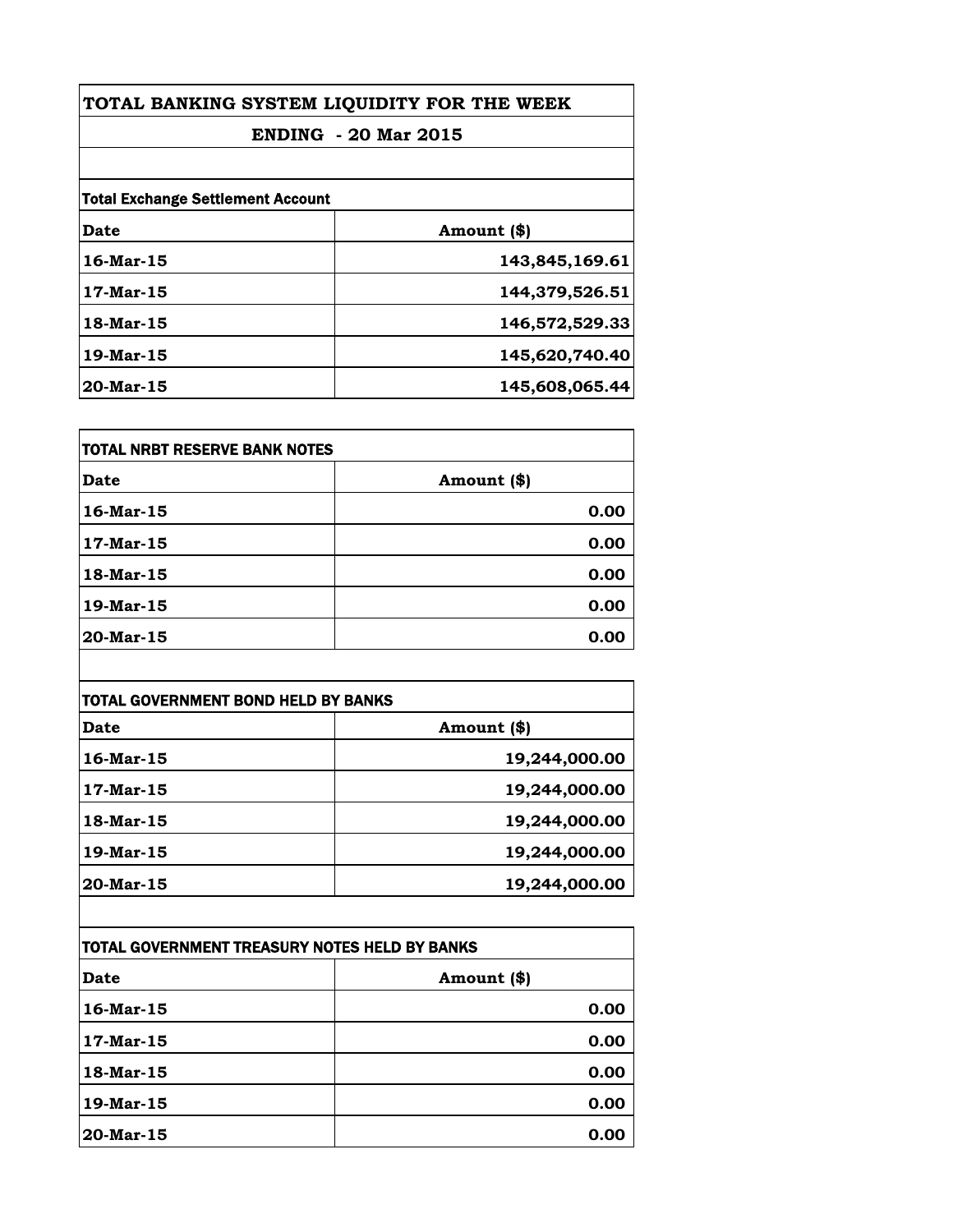| TOTAL BANKING SYSTEM LIQUIDITY FOR THE WEEK<br><b>ENDING - 20 Mar 2015</b><br><b>Total Exchange Settlement Account</b> |                |           |                |
|------------------------------------------------------------------------------------------------------------------------|----------------|-----------|----------------|
|                                                                                                                        |                | Date      | Amount (\$)    |
|                                                                                                                        |                | 16-Mar-15 | 143,845,169.61 |
|                                                                                                                        |                | 17-Mar-15 | 144,379,526.51 |
| 18-Mar-15                                                                                                              | 146,572,529.33 |           |                |
| 19-Mar-15                                                                                                              | 145,620,740.40 |           |                |
| 20-Mar-15                                                                                                              | 145,608,065.44 |           |                |

| <b>TOTAL NRBT RESERVE BANK NOTES</b> |             |
|--------------------------------------|-------------|
| Date                                 | Amount (\$) |
| 16-Mar-15                            | 0.00        |
| 17-Mar-15                            | 0.00        |
| 18-Mar-15                            | 0.00        |
| 19-Mar-15                            | 0.00        |
| 20-Mar-15                            | 0.00        |

| <b>TOTAL GOVERNMENT BOND HELD BY BANKS</b> |               |
|--------------------------------------------|---------------|
| <b>Date</b>                                | Amount (\$)   |
| 16-Mar-15                                  | 19,244,000.00 |
| 17-Mar-15                                  | 19,244,000.00 |
| 18-Mar-15                                  | 19,244,000.00 |
| 19-Mar-15                                  | 19,244,000.00 |
| 20-Mar-15                                  | 19,244,000.00 |

| TOTAL GOVERNMENT TREASURY NOTES HELD BY BANKS |              |
|-----------------------------------------------|--------------|
| Date                                          | Amount $(*)$ |
| 16-Mar-15                                     | 0.00         |
| 17-Mar-15                                     | 0.00         |
| 18-Mar-15                                     | 0.00         |
| $19$ -Mar-15                                  | 0.00         |
| $20$ -Mar-15                                  | 0.00         |